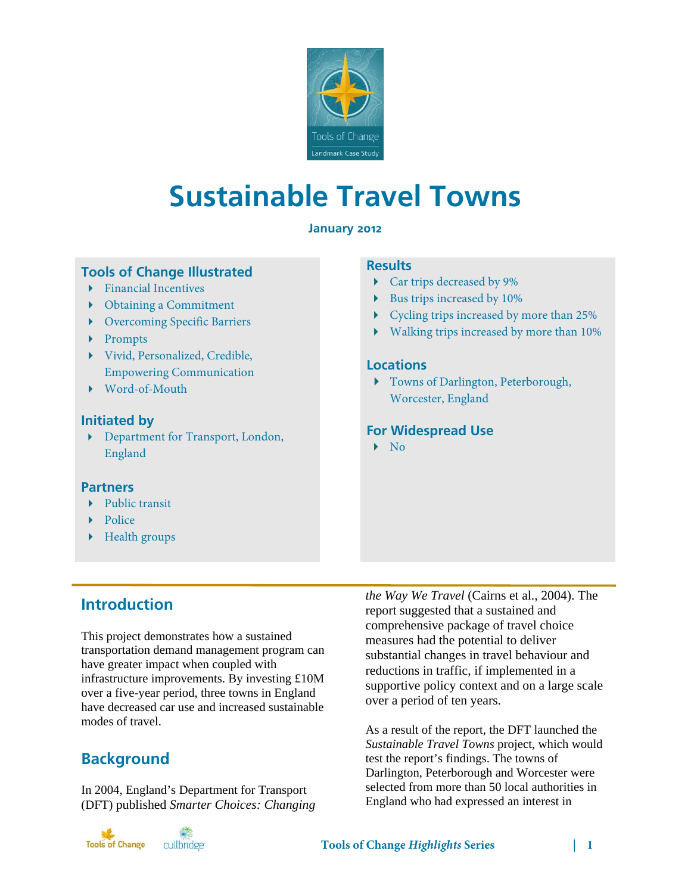

# **Sustainable Travel Towns**

## **January 2012**

# **Tools of Change Illustrated**

- $\blacktriangleright$  Financial Incentives
- Obtaining a Commitment
- Overcoming Specific Barriers
- ▶ Prompts
- Vivid, Personalized, Credible, Empowering Communication
- Word-of-Mouth

## **Initiated by**

 Department for Transport, London, England

## **Partners**

- Public transit
- $\blacktriangleright$  Police
- Health groups

# **Results**

- Car trips decreased by 9%
- Bus trips increased by 10%
- Cycling trips increased by more than 25%
- Walking trips increased by more than 10%

### **Locations**

 Towns of Darlington, Peterborough, Worcester, England

## **For Widespread Use**

 $\blacktriangleright$  No

# **Introduction**

This project demonstrates how a sustained transportation demand management program can have greater impact when coupled with infrastructure improvements. By investing £10M over a five-year period, three towns in England have decreased car use and increased sustainable modes of travel.

# **Background**

In 2004, England's Department for Transport (DFT) published *Smarter Choices: Changing* 



*the Way We Travel* (Cairns et al., 2004). The report suggested that a sustained and comprehensive package of travel choice measures had the potential to deliver substantial changes in travel behaviour and reductions in traffic, if implemented in a supportive policy context and on a large scale over a period of ten years.

As a result of the report, the DFT launched the *Sustainable Travel Towns* project, which would test the report's findings. The towns of Darlington, Peterborough and Worcester were selected from more than 50 local authorities in England who had expressed an interest in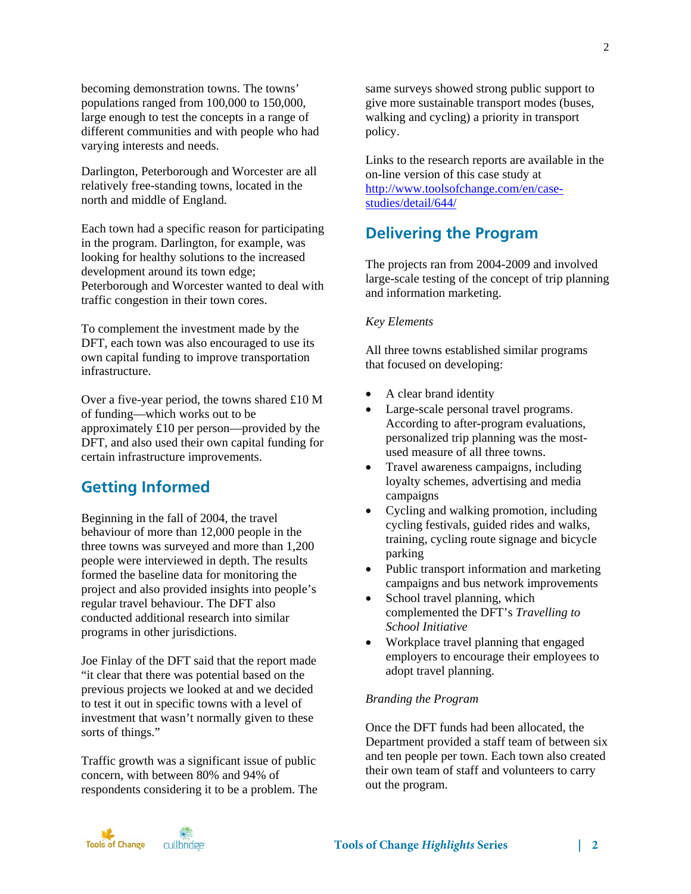becoming demonstration towns. The towns' populations ranged from 100,000 to 150,000, large enough to test the concepts in a range of different communities and with people who had varying interests and needs.

Darlington, Peterborough and Worcester are all relatively free-standing towns, located in the north and middle of England.

Each town had a specific reason for participating in the program. Darlington, for example, was looking for healthy solutions to the increased development around its town edge; Peterborough and Worcester wanted to deal with traffic congestion in their town cores.

To complement the investment made by the DFT, each town was also encouraged to use its own capital funding to improve transportation infrastructure.

Over a five-year period, the towns shared £10 M of funding—which works out to be approximately £10 per person—provided by the DFT, and also used their own capital funding for certain infrastructure improvements.

# **Getting Informed**

Beginning in the fall of 2004, the travel behaviour of more than 12,000 people in the three towns was surveyed and more than 1,200 people were interviewed in depth. The results formed the baseline data for monitoring the project and also provided insights into people's regular travel behaviour. The DFT also conducted additional research into similar programs in other jurisdictions.

Joe Finlay of the DFT said that the report made "it clear that there was potential based on the previous projects we looked at and we decided to test it out in specific towns with a level of investment that wasn't normally given to these sorts of things."

Traffic growth was a significant issue of public concern, with between 80% and 94% of respondents considering it to be a problem. The same surveys showed strong public support to give more sustainable transport modes (buses, walking and cycling) a priority in transport policy.

Links to the research reports are available in the on-line version of this case study at http://www.toolsofchange.com/en/casestudies/detail/644/

# **Delivering the Program**

The projects ran from 2004-2009 and involved large-scale testing of the concept of trip planning and information marketing.

#### *Key Elements*

All three towns established similar programs that focused on developing:

- A clear brand identity
- Large-scale personal travel programs. According to after-program evaluations, personalized trip planning was the mostused measure of all three towns.
- Travel awareness campaigns, including loyalty schemes, advertising and media campaigns
- Cycling and walking promotion, including cycling festivals, guided rides and walks, training, cycling route signage and bicycle parking
- Public transport information and marketing campaigns and bus network improvements
- School travel planning, which complemented the DFT's *Travelling to School Initiative*
- Workplace travel planning that engaged employers to encourage their employees to adopt travel planning.

#### *Branding the Program*

Once the DFT funds had been allocated, the Department provided a staff team of between six and ten people per town. Each town also created their own team of staff and volunteers to carry out the program.

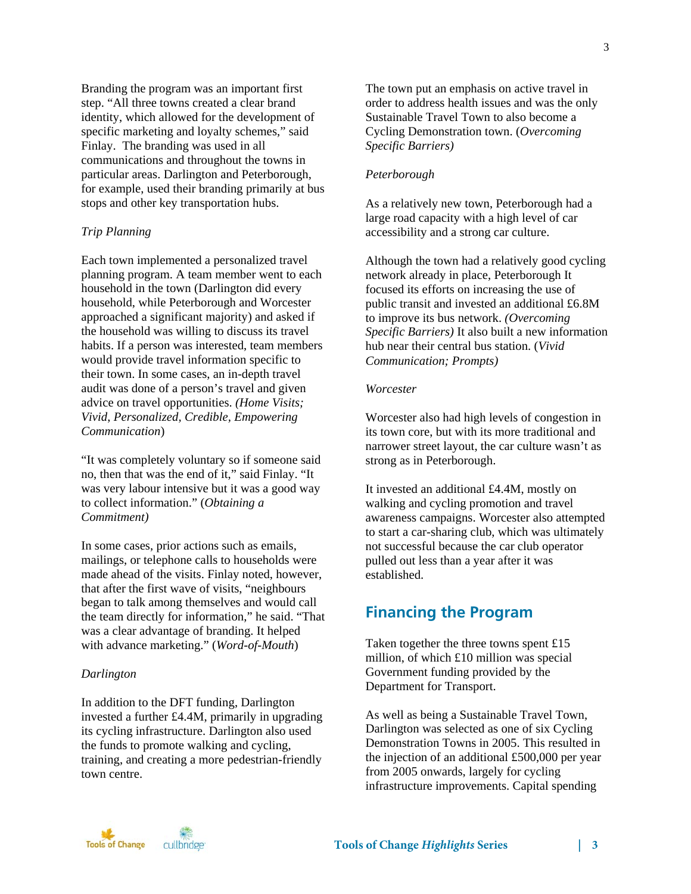Branding the program was an important first step. "All three towns created a clear brand identity, which allowed for the development of specific marketing and loyalty schemes," said Finlay. The branding was used in all communications and throughout the towns in particular areas. Darlington and Peterborough, for example, used their branding primarily at bus stops and other key transportation hubs.

#### *Trip Planning*

Each town implemented a personalized travel planning program. A team member went to each household in the town (Darlington did every household, while Peterborough and Worcester approached a significant majority) and asked if the household was willing to discuss its travel habits. If a person was interested, team members would provide travel information specific to their town. In some cases, an in-depth travel audit was done of a person's travel and given advice on travel opportunities. *(Home Visits; Vivid*, *Personalized, Credible, Empowering Communication*)

"It was completely voluntary so if someone said no, then that was the end of it," said Finlay. "It was very labour intensive but it was a good way to collect information." (*Obtaining a Commitment)* 

In some cases, prior actions such as emails, mailings, or telephone calls to households were made ahead of the visits. Finlay noted, however, that after the first wave of visits, "neighbours began to talk among themselves and would call the team directly for information," he said. "That was a clear advantage of branding. It helped with advance marketing." (*Word-of-Mouth*)

#### *Darlington*

In addition to the DFT funding, Darlington invested a further £4.4M, primarily in upgrading its cycling infrastructure. Darlington also used the funds to promote walking and cycling, training, and creating a more pedestrian-friendly town centre.

The town put an emphasis on active travel in order to address health issues and was the only Sustainable Travel Town to also become a Cycling Demonstration town. (*Overcoming Specific Barriers)* 

#### *Peterborough*

As a relatively new town, Peterborough had a large road capacity with a high level of car accessibility and a strong car culture.

Although the town had a relatively good cycling network already in place, Peterborough It focused its efforts on increasing the use of public transit and invested an additional £6.8M to improve its bus network. *(Overcoming Specific Barriers)* It also built a new information hub near their central bus station. (*Vivid Communication; Prompts)* 

#### *Worcester*

Worcester also had high levels of congestion in its town core, but with its more traditional and narrower street layout, the car culture wasn't as strong as in Peterborough.

It invested an additional £4.4M, mostly on walking and cycling promotion and travel awareness campaigns. Worcester also attempted to start a car-sharing club, which was ultimately not successful because the car club operator pulled out less than a year after it was established.

## **Financing the Program**

Taken together the three towns spent £15 million, of which £10 million was special Government funding provided by the Department for Transport.

As well as being a Sustainable Travel Town, Darlington was selected as one of six Cycling Demonstration Towns in 2005. This resulted in the injection of an additional £500,000 per year from 2005 onwards, largely for cycling infrastructure improvements. Capital spending

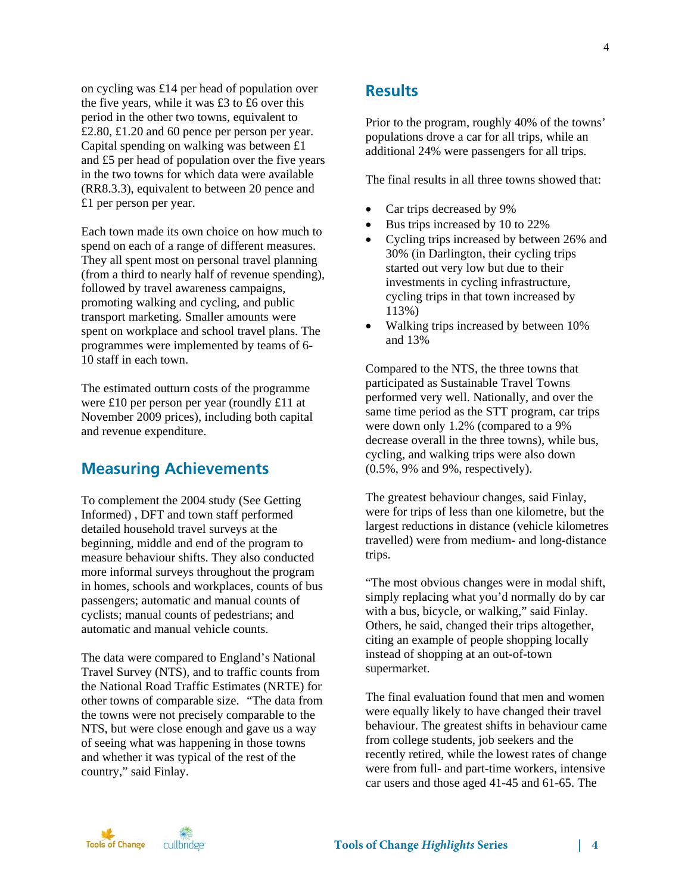on cycling was £14 per head of population over the five years, while it was £3 to £6 over this period in the other two towns, equivalent to £2.80, £1.20 and 60 pence per person per year. Capital spending on walking was between £1 and £5 per head of population over the five years in the two towns for which data were available (RR8.3.3), equivalent to between 20 pence and £1 per person per year.

Each town made its own choice on how much to spend on each of a range of different measures. They all spent most on personal travel planning (from a third to nearly half of revenue spending), followed by travel awareness campaigns, promoting walking and cycling, and public transport marketing. Smaller amounts were spent on workplace and school travel plans. The programmes were implemented by teams of 6- 10 staff in each town.

The estimated outturn costs of the programme were £10 per person per year (roundly £11 at November 2009 prices), including both capital and revenue expenditure.

# **Measuring Achievements**

To complement the 2004 study (See Getting Informed) , DFT and town staff performed detailed household travel surveys at the beginning, middle and end of the program to measure behaviour shifts. They also conducted more informal surveys throughout the program in homes, schools and workplaces, counts of bus passengers; automatic and manual counts of cyclists; manual counts of pedestrians; and automatic and manual vehicle counts.

The data were compared to England's National Travel Survey (NTS), and to traffic counts from the National Road Traffic Estimates (NRTE) for other towns of comparable size. "The data from the towns were not precisely comparable to the NTS, but were close enough and gave us a way of seeing what was happening in those towns and whether it was typical of the rest of the country," said Finlay.

# **Results**

Prior to the program, roughly 40% of the towns' populations drove a car for all trips, while an additional 24% were passengers for all trips.

The final results in all three towns showed that:

- Car trips decreased by 9%
- Bus trips increased by 10 to 22%
- Cycling trips increased by between 26% and 30% (in Darlington, their cycling trips started out very low but due to their investments in cycling infrastructure, cycling trips in that town increased by 113%)
- Walking trips increased by between 10% and 13%

Compared to the NTS, the three towns that participated as Sustainable Travel Towns performed very well. Nationally, and over the same time period as the STT program, car trips were down only 1.2% (compared to a 9% decrease overall in the three towns), while bus, cycling, and walking trips were also down (0.5%, 9% and 9%, respectively).

The greatest behaviour changes, said Finlay, were for trips of less than one kilometre, but the largest reductions in distance (vehicle kilometres travelled) were from medium- and long-distance trips.

"The most obvious changes were in modal shift, simply replacing what you'd normally do by car with a bus, bicycle, or walking," said Finlay. Others, he said, changed their trips altogether, citing an example of people shopping locally instead of shopping at an out-of-town supermarket.

The final evaluation found that men and women were equally likely to have changed their travel behaviour. The greatest shifts in behaviour came from college students, job seekers and the recently retired, while the lowest rates of change were from full- and part-time workers, intensive car users and those aged 41-45 and 61-65. The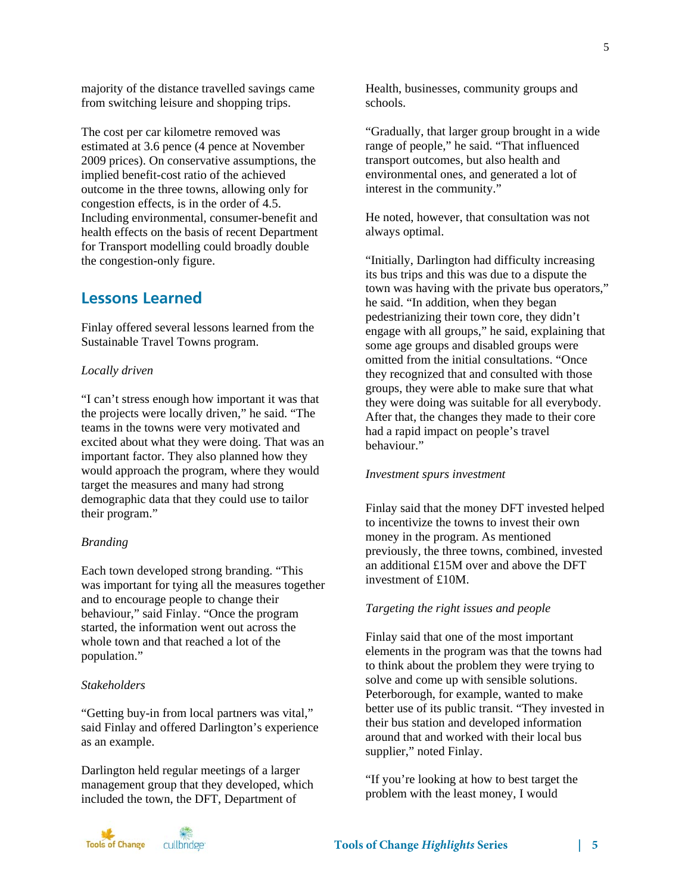majority of the distance travelled savings came from switching leisure and shopping trips.

The cost per car kilometre removed was estimated at 3.6 pence (4 pence at November 2009 prices). On conservative assumptions, the implied benefit-cost ratio of the achieved outcome in the three towns, allowing only for congestion effects, is in the order of 4.5. Including environmental, consumer-benefit and health effects on the basis of recent Department for Transport modelling could broadly double the congestion-only figure.

# **Lessons Learned**

Finlay offered several lessons learned from the Sustainable Travel Towns program.

#### *Locally driven*

"I can't stress enough how important it was that the projects were locally driven," he said. "The teams in the towns were very motivated and excited about what they were doing. That was an important factor. They also planned how they would approach the program, where they would target the measures and many had strong demographic data that they could use to tailor their program."

#### *Branding*

Each town developed strong branding. "This was important for tying all the measures together and to encourage people to change their behaviour," said Finlay. "Once the program started, the information went out across the whole town and that reached a lot of the population."

#### *Stakeholders*

"Getting buy-in from local partners was vital," said Finlay and offered Darlington's experience as an example.

Darlington held regular meetings of a larger management group that they developed, which included the town, the DFT, Department of

Health, businesses, community groups and schools.

"Gradually, that larger group brought in a wide range of people," he said. "That influenced transport outcomes, but also health and environmental ones, and generated a lot of interest in the community."

He noted, however, that consultation was not always optimal.

"Initially, Darlington had difficulty increasing its bus trips and this was due to a dispute the town was having with the private bus operators," he said. "In addition, when they began pedestrianizing their town core, they didn't engage with all groups," he said, explaining that some age groups and disabled groups were omitted from the initial consultations. "Once they recognized that and consulted with those groups, they were able to make sure that what they were doing was suitable for all everybody. After that, the changes they made to their core had a rapid impact on people's travel behaviour."

#### *Investment spurs investment*

Finlay said that the money DFT invested helped to incentivize the towns to invest their own money in the program. As mentioned previously, the three towns, combined, invested an additional £15M over and above the DFT investment of £10M.

#### *Targeting the right issues and people*

Finlay said that one of the most important elements in the program was that the towns had to think about the problem they were trying to solve and come up with sensible solutions. Peterborough, for example, wanted to make better use of its public transit. "They invested in their bus station and developed information around that and worked with their local bus supplier," noted Finlay.

"If you're looking at how to best target the problem with the least money, I would



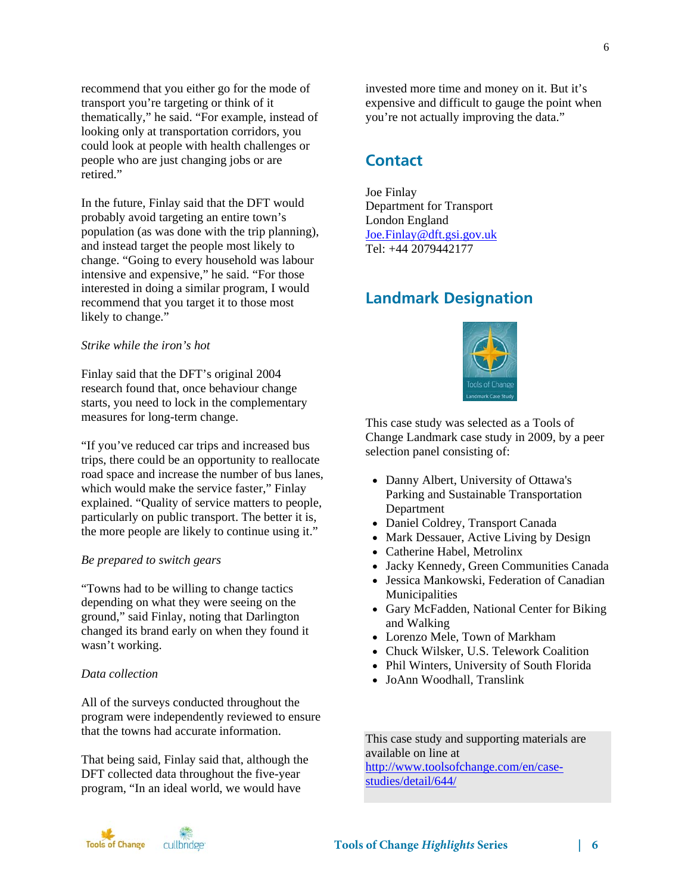recommend that you either go for the mode of transport you're targeting or think of it thematically," he said. "For example, instead of looking only at transportation corridors, you could look at people with health challenges or people who are just changing jobs or are retired."

In the future, Finlay said that the DFT would probably avoid targeting an entire town's population (as was done with the trip planning), and instead target the people most likely to change. "Going to every household was labour intensive and expensive," he said. "For those interested in doing a similar program, I would recommend that you target it to those most likely to change."

#### *Strike while the iron's hot*

Finlay said that the DFT's original 2004 research found that, once behaviour change starts, you need to lock in the complementary measures for long-term change.

"If you've reduced car trips and increased bus trips, there could be an opportunity to reallocate road space and increase the number of bus lanes, which would make the service faster," Finlay explained. "Quality of service matters to people, particularly on public transport. The better it is, the more people are likely to continue using it."

#### *Be prepared to switch gears*

"Towns had to be willing to change tactics depending on what they were seeing on the ground," said Finlay, noting that Darlington changed its brand early on when they found it wasn't working.

#### *Data collection*

All of the surveys conducted throughout the program were independently reviewed to ensure that the towns had accurate information.

That being said, Finlay said that, although the DFT collected data throughout the five-year program, "In an ideal world, we would have

invested more time and money on it. But it's expensive and difficult to gauge the point when you're not actually improving the data."

## **Contact**

Joe Finlay Department for Transport London England Joe*.*Finlay@dft.gsi.gov.uk Tel: +44 2079442177

# **Landmark Designation**



This case study was selected as a Tools of Change Landmark case study in 2009, by a peer selection panel consisting of:

- Danny Albert, University of Ottawa's Parking and Sustainable Transportation Department
- Daniel Coldrey, Transport Canada
- Mark Dessauer, Active Living by Design
- Catherine Habel, Metrolinx
- Jacky Kennedy, Green Communities Canada
- Jessica Mankowski, Federation of Canadian Municipalities
- Gary McFadden, National Center for Biking and Walking
- Lorenzo Mele, Town of Markham
- Chuck Wilsker, U.S. Telework Coalition
- Phil Winters, University of South Florida
- JoAnn Woodhall, Translink

This case study and supporting materials are available on line at http://www.toolsofchange.com/en/case-

studies/detail/644/